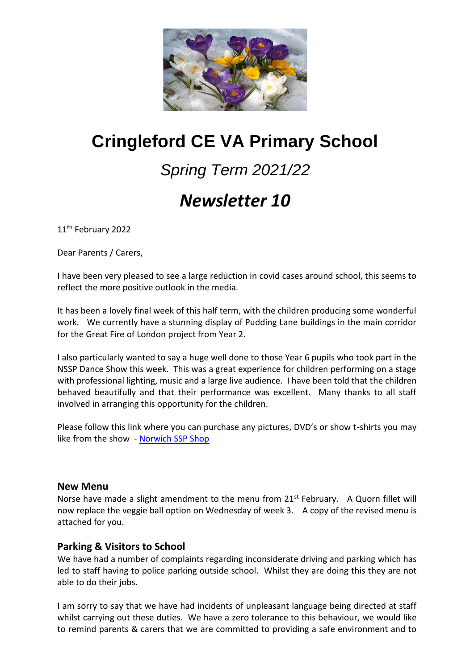

# **Cringleford CE VA Primary School**

# *Spring Term 2021/22*

## *Newsletter 10*

11<sup>th</sup> February 2022

Dear Parents / Carers,

I have been very pleased to see a large reduction in covid cases around school, this seems to reflect the more positive outlook in the media.

It has been a lovely final week of this half term, with the children producing some wonderful work. We currently have a stunning display of Pudding Lane buildings in the main corridor for the Great Fire of London project from Year 2.

I also particularly wanted to say a huge well done to those Year 6 pupils who took part in the NSSP Dance Show this week. This was a great experience for children performing on a stage with professional lighting, music and a large live audience. I have been told that the children behaved beautifully and that their performance was excellent. Many thanks to all staff involved in arranging this opportunity for the children.

Please follow this link where you can purchase any pictures, DVD's or show t-shirts you may like from the show - [Norwich SSP Shop](https://www.norwichssp.co.uk/shop/) 

#### **New Menu**

Norse have made a slight amendment to the menu from 21<sup>st</sup> February. A Quorn fillet will now replace the veggie ball option on Wednesday of week 3. A copy of the revised menu is attached for you.

#### **Parking & Visitors to School**

We have had a number of complaints regarding inconsiderate driving and parking which has led to staff having to police parking outside school. Whilst they are doing this they are not able to do their jobs.

I am sorry to say that we have had incidents of unpleasant language being directed at staff whilst carrying out these duties. We have a zero tolerance to this behaviour, we would like to remind parents & carers that we are committed to providing a safe environment and to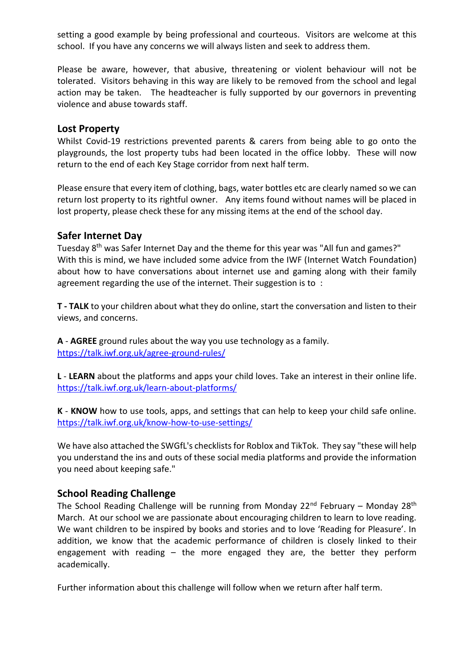setting a good example by being professional and courteous. Visitors are welcome at this school. If you have any concerns we will always listen and seek to address them.

Please be aware, however, that abusive, threatening or violent behaviour will not be tolerated. Visitors behaving in this way are likely to be removed from the school and legal action may be taken. The headteacher is fully supported by our governors in preventing violence and abuse towards staff.

#### **Lost Property**

Whilst Covid-19 restrictions prevented parents & carers from being able to go onto the playgrounds, the lost property tubs had been located in the office lobby. These will now return to the end of each Key Stage corridor from next half term.

Please ensure that every item of clothing, bags, water bottles etc are clearly named so we can return lost property to its rightful owner. Any items found without names will be placed in lost property, please check these for any missing items at the end of the school day.

#### **Safer Internet Day**

Tuesday 8th was Safer Internet Day and the theme for this year was "All fun and games?" With this is mind, we have included some advice from the IWF (Internet Watch Foundation) about how to have conversations about internet use and gaming along with their family agreement regarding the use of the internet. Their suggestion is to :

**T - TALK** to your children about what they do online, start the conversation and listen to their views, and concerns.

**A** - **AGREE** ground rules about the way you use technology as a family. <https://talk.iwf.org.uk/agree-ground-rules/>

**L** - **LEARN** about the platforms and apps your child loves. Take an interest in their online life. <https://talk.iwf.org.uk/learn-about-platforms/>

**K** - **KNOW** how to use tools, apps, and settings that can help to keep your child safe online. <https://talk.iwf.org.uk/know-how-to-use-settings/>

We have also attached the SWGfL's checklists for Roblox and TikTok. They say "these will help you understand the ins and outs of these social media platforms and provide the information you need about keeping safe."

#### **School Reading Challenge**

The School Reading Challenge will be running from Monday  $22^{nd}$  February – Monday  $28^{th}$ March. At our school we are passionate about encouraging children to learn to love reading. We want children to be inspired by books and stories and to love 'Reading for Pleasure'. In addition, we know that the academic performance of children is closely linked to their engagement with reading – the more engaged they are, the better they perform academically.

Further information about this challenge will follow when we return after half term.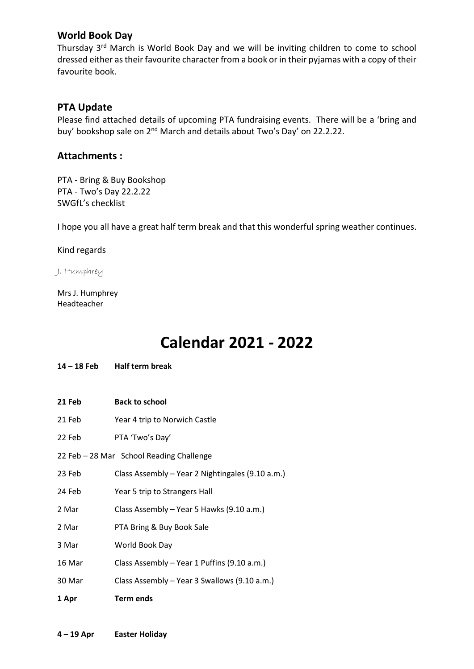#### **World Book Day**

Thursday 3rd March is World Book Day and we will be inviting children to come to school dressed either as their favourite character from a book or in their pyjamas with a copy of their favourite book.

#### **PTA Update**

Please find attached details of upcoming PTA fundraising events. There will be a 'bring and buy' bookshop sale on 2<sup>nd</sup> March and details about Two's Day' on 22.2.22.

#### **Attachments :**

PTA - Bring & Buy Bookshop PTA - Two's Day 22.2.22 SWGfL's checklist

I hope you all have a great half term break and that this wonderful spring weather continues.

Kind regards

J. Humphrey

Mrs J. Humphrey Headteacher

### **Calendar 2021 - 2022**

#### **14 – 18 Feb Half term break**

- **21 Feb Back to school**
- 21 Feb Year 4 trip to Norwich Castle
- 22 Feb PTA 'Two's Day'
- 22 Feb 28 Mar School Reading Challenge
- 23 Feb Class Assembly Year 2 Nightingales (9.10 a.m.)
- 24 Feb Year 5 trip to Strangers Hall
- 2 Mar Class Assembly Year 5 Hawks (9.10 a.m.)
- 2 Mar PTA Bring & Buy Book Sale
- 3 Mar World Book Day
- 16 Mar Class Assembly Year 1 Puffins (9.10 a.m.)
- 30 Mar Class Assembly Year 3 Swallows (9.10 a.m.)
- **1 Apr Term ends**